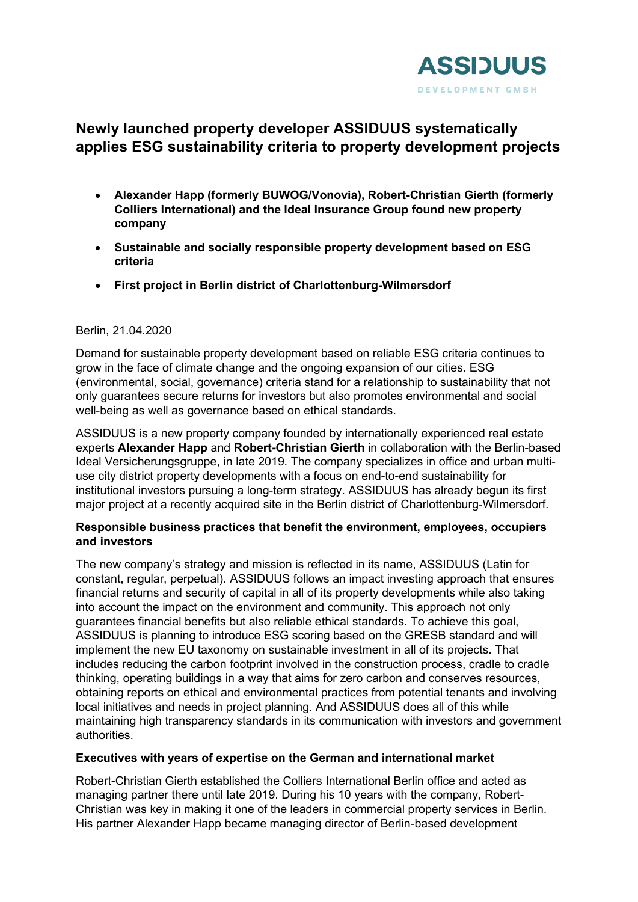

# **Newly launched property developer ASSIDUUS systematically applies ESG sustainability criteria to property development projects**

- **Alexander Happ (formerly BUWOG/Vonovia), Robert-Christian Gierth (formerly Colliers International) and the Ideal Insurance Group found new property company**
- **Sustainable and socially responsible property development based on ESG criteria**
- **First project in Berlin district of Charlottenburg-Wilmersdorf**

# Berlin, 21.04.2020

Demand for sustainable property development based on reliable ESG criteria continues to grow in the face of climate change and the ongoing expansion of our cities. ESG (environmental, social, governance) criteria stand for a relationship to sustainability that not only guarantees secure returns for investors but also promotes environmental and social well-being as well as governance based on ethical standards.

ASSIDUUS is a new property company founded by internationally experienced real estate experts **Alexander Happ** and **Robert-Christian Gierth** in collaboration with the Berlin-based Ideal Versicherungsgruppe, in late 2019. The company specializes in office and urban multiuse city district property developments with a focus on end-to-end sustainability for institutional investors pursuing a long-term strategy. ASSIDUUS has already begun its first major project at a recently acquired site in the Berlin district of Charlottenburg-Wilmersdorf.

### **Responsible business practices that benefit the environment, employees, occupiers and investors**

The new company's strategy and mission is reflected in its name, ASSIDUUS (Latin for constant, regular, perpetual). ASSIDUUS follows an impact investing approach that ensures financial returns and security of capital in all of its property developments while also taking into account the impact on the environment and community. This approach not only guarantees financial benefits but also reliable ethical standards. To achieve this goal, ASSIDUUS is planning to introduce ESG scoring based on the GRESB standard and will implement the new EU taxonomy on sustainable investment in all of its projects. That includes reducing the carbon footprint involved in the construction process, cradle to cradle thinking, operating buildings in a way that aims for zero carbon and conserves resources, obtaining reports on ethical and environmental practices from potential tenants and involving local initiatives and needs in project planning. And ASSIDUUS does all of this while maintaining high transparency standards in its communication with investors and government authorities.

# **Executives with years of expertise on the German and international market**

Robert-Christian Gierth established the Colliers International Berlin office and acted as managing partner there until late 2019. During his 10 years with the company, Robert-Christian was key in making it one of the leaders in commercial property services in Berlin. His partner Alexander Happ became managing director of Berlin-based development